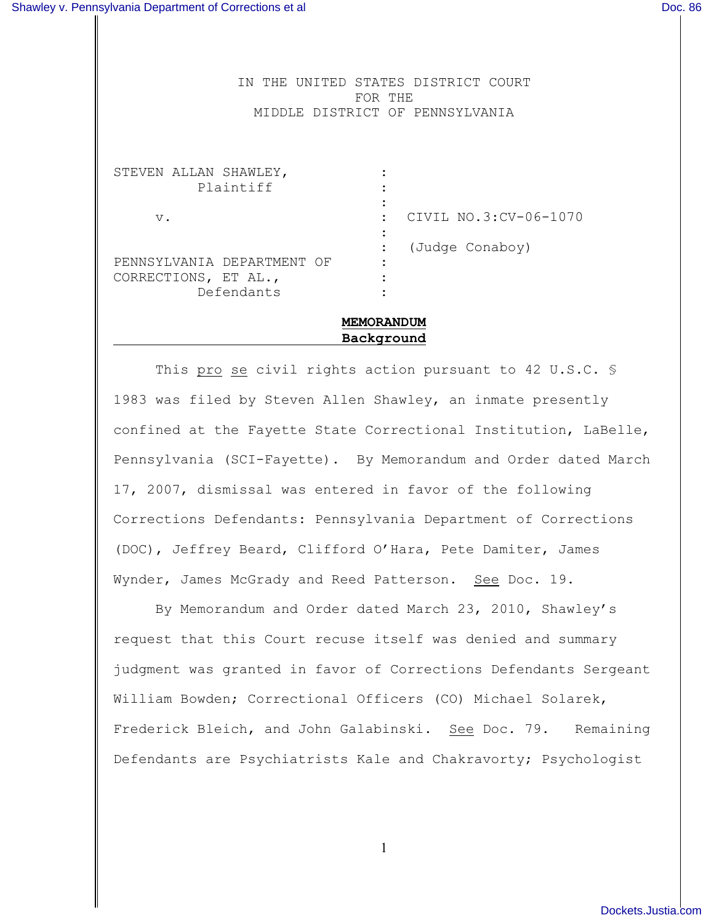IN THE UNITED STATES DISTRICT COURT FOR THE MIDDLE DISTRICT OF PENNSYLVANIA

STEVEN ALLAN SHAWLEY, Plaintiff : : v.  $\qquad \qquad \begin{array}{ccc} \n\text{V} \cdot \quad & \text{CIVIL NO.3:CV-06-1070} \n\end{array}$ : : (Judge Conaboy) PENNSYLVANIA DEPARTMENT OF : CORRECTIONS, ET AL., Defendants :

# **MEMORANDUM Background**

This pro se civil rights action pursuant to 42 U.S.C. \$ 1983 was filed by Steven Allen Shawley, an inmate presently confined at the Fayette State Correctional Institution, LaBelle, Pennsylvania (SCI-Fayette). By Memorandum and Order dated March 17, 2007, dismissal was entered in favor of the following Corrections Defendants: Pennsylvania Department of Corrections (DOC), Jeffrey Beard, Clifford O'Hara, Pete Damiter, James Wynder, James McGrady and Reed Patterson. See Doc. 19.

By Memorandum and Order dated March 23, 2010, Shawley's request that this Court recuse itself was denied and summary judgment was granted in favor of Corrections Defendants Sergeant William Bowden; Correctional Officers (CO) Michael Solarek, Frederick Bleich, and John Galabinski. See Doc. 79. Remaining Defendants are Psychiatrists Kale and Chakravorty; Psychologist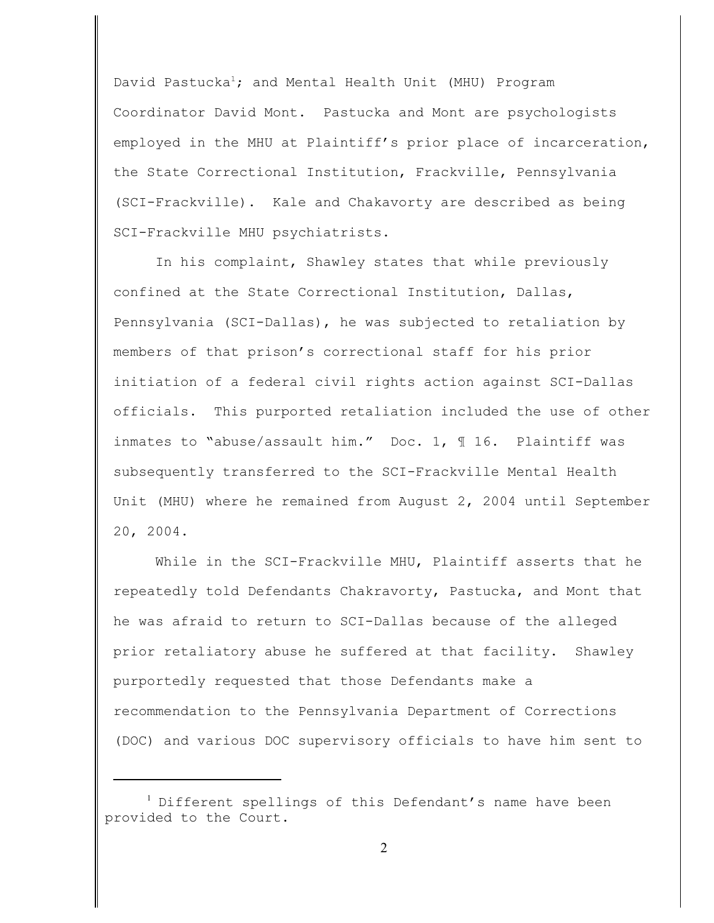David Pastucka<sup>1</sup>; and Mental Health Unit (MHU) Program Coordinator David Mont. Pastucka and Mont are psychologists employed in the MHU at Plaintiff's prior place of incarceration, the State Correctional Institution, Frackville, Pennsylvania (SCI-Frackville). Kale and Chakavorty are described as being SCI-Frackville MHU psychiatrists.

In his complaint, Shawley states that while previously confined at the State Correctional Institution, Dallas, Pennsylvania (SCI-Dallas), he was subjected to retaliation by members of that prison's correctional staff for his prior initiation of a federal civil rights action against SCI-Dallas officials. This purported retaliation included the use of other inmates to "abuse/assault him." Doc. 1, 116. Plaintiff was subsequently transferred to the SCI-Frackville Mental Health Unit (MHU) where he remained from August 2, 2004 until September 20, 2004.

While in the SCI-Frackville MHU, Plaintiff asserts that he repeatedly told Defendants Chakravorty, Pastucka, and Mont that he was afraid to return to SCI-Dallas because of the alleged prior retaliatory abuse he suffered at that facility. Shawley purportedly requested that those Defendants make a recommendation to the Pennsylvania Department of Corrections (DOC) and various DOC supervisory officials to have him sent to

 $1$  Different spellings of this Defendant's name have been provided to the Court.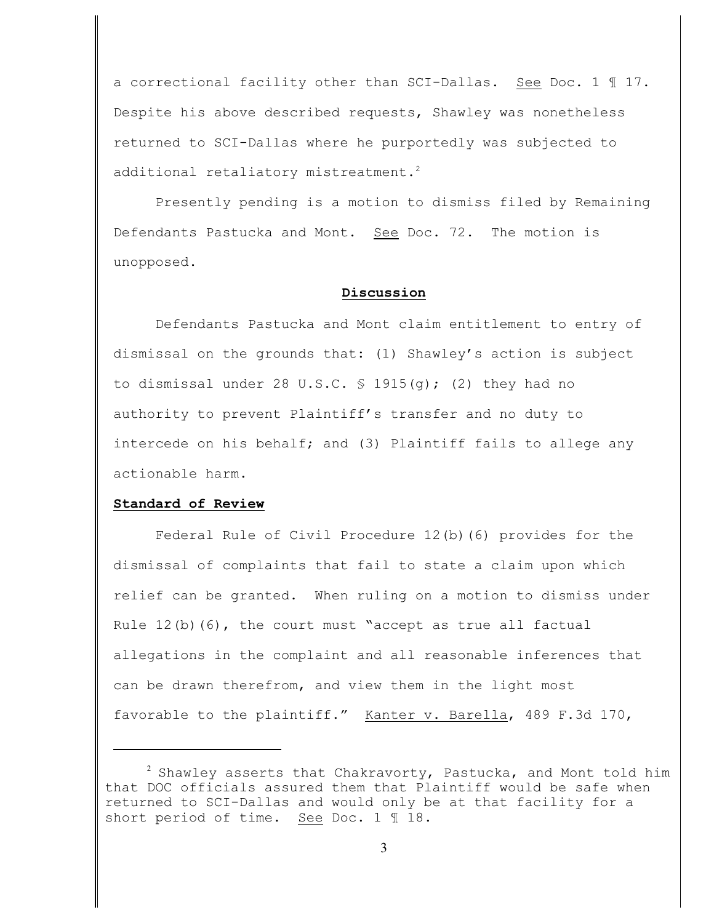a correctional facility other than SCI-Dallas. See Doc. 1 ¶ 17. Despite his above described requests, Shawley was nonetheless returned to SCI-Dallas where he purportedly was subjected to additional retaliatory mistreatment.<sup>2</sup>

Presently pending is a motion to dismiss filed by Remaining Defendants Pastucka and Mont. See Doc. 72. The motion is unopposed.

### **Discussion**

Defendants Pastucka and Mont claim entitlement to entry of dismissal on the grounds that: (1) Shawley's action is subject to dismissal under 28 U.S.C.  $\frac{1915(q)}{q}$ ; (2) they had no authority to prevent Plaintiff's transfer and no duty to intercede on his behalf; and (3) Plaintiff fails to allege any actionable harm.

## **Standard of Review**

Federal Rule of Civil Procedure 12(b)(6) provides for the dismissal of complaints that fail to state a claim upon which relief can be granted. When ruling on a motion to dismiss under Rule  $12(b)$  (6), the court must "accept as true all factual allegations in the complaint and all reasonable inferences that can be drawn therefrom, and view them in the light most favorable to the plaintiff." Kanter v. Barella, 489 F.3d 170,

 $\frac{2}{3}$  Shawley asserts that Chakravorty, Pastucka, and Mont told him that DOC officials assured them that Plaintiff would be safe when returned to SCI-Dallas and would only be at that facility for a short period of time. See Doc. 1 ¶ 18.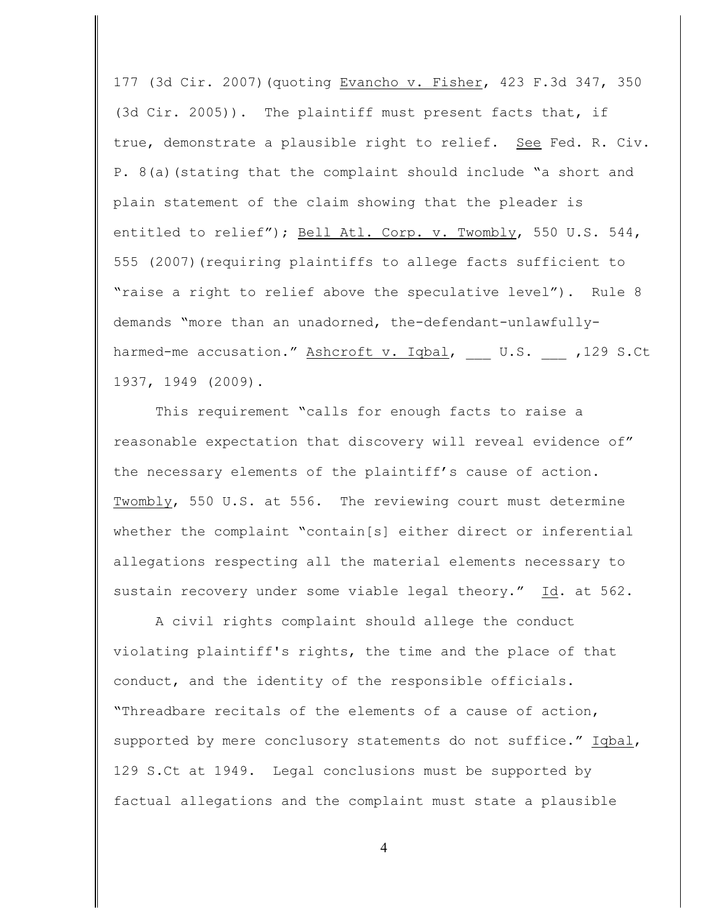177 (3d Cir. 2007)(quoting Evancho v. Fisher, 423 F.3d 347, 350 (3d Cir. 2005)). The plaintiff must present facts that, if true, demonstrate a plausible right to relief. See Fed. R. Civ. P. 8(a)(stating that the complaint should include "a short and plain statement of the claim showing that the pleader is entitled to relief"); Bell Atl. Corp. v. Twombly, 550 U.S. 544, 555 (2007)(requiring plaintiffs to allege facts sufficient to "raise a right to relief above the speculative level"). Rule 8 demands "more than an unadorned, the-defendant-unlawfullyharmed-me accusation." Ashcroft v. Iqbal, U.S. ,129 S.Ct 1937, 1949 (2009).

This requirement "calls for enough facts to raise a reasonable expectation that discovery will reveal evidence of" the necessary elements of the plaintiff's cause of action. Twombly, 550 U.S. at 556. The reviewing court must determine whether the complaint "contain[s] either direct or inferential allegations respecting all the material elements necessary to sustain recovery under some viable legal theory." Id. at 562.

A civil rights complaint should allege the conduct violating plaintiff's rights, the time and the place of that conduct, and the identity of the responsible officials. "Threadbare recitals of the elements of a cause of action, supported by mere conclusory statements do not suffice." Iqbal, 129 S.Ct at 1949. Legal conclusions must be supported by factual allegations and the complaint must state a plausible

4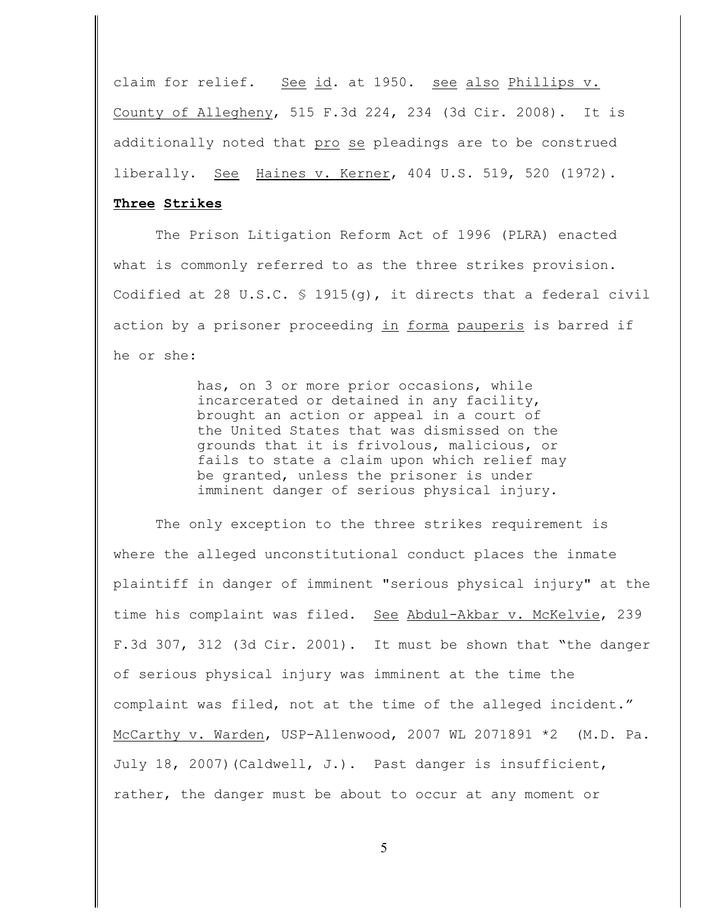claim for relief. See id. at 1950. see also Phillips v. County of Allegheny, 515 F.3d 224, 234 (3d Cir. 2008). It is additionally noted that pro se pleadings are to be construed liberally. See Haines v. Kerner, 404 U.S. 519, 520 (1972).

## **Three Strikes**

The Prison Litigation Reform Act of 1996 (PLRA) enacted what is commonly referred to as the three strikes provision. Codified at 28 U.S.C. § 1915(g), it directs that a federal civil action by a prisoner proceeding in forma pauperis is barred if he or she:

> has, on 3 or more prior occasions, while incarcerated or detained in any facility, brought an action or appeal in a court of the United States that was dismissed on the grounds that it is frivolous, malicious, or fails to state a claim upon which relief may be granted, unless the prisoner is under imminent danger of serious physical injury.

The only exception to the three strikes requirement is where the alleged unconstitutional conduct places the inmate plaintiff in danger of imminent "serious physical injury" at the time his complaint was filed. See Abdul-Akbar v. McKelvie, 239 F.3d 307, 312 (3d Cir. 2001). It must be shown that "the danger of serious physical injury was imminent at the time the complaint was filed, not at the time of the alleged incident." McCarthy v. Warden, USP-Allenwood, 2007 WL 2071891 \*2 (M.D. Pa. July 18, 2007)(Caldwell, J.). Past danger is insufficient, rather, the danger must be about to occur at any moment or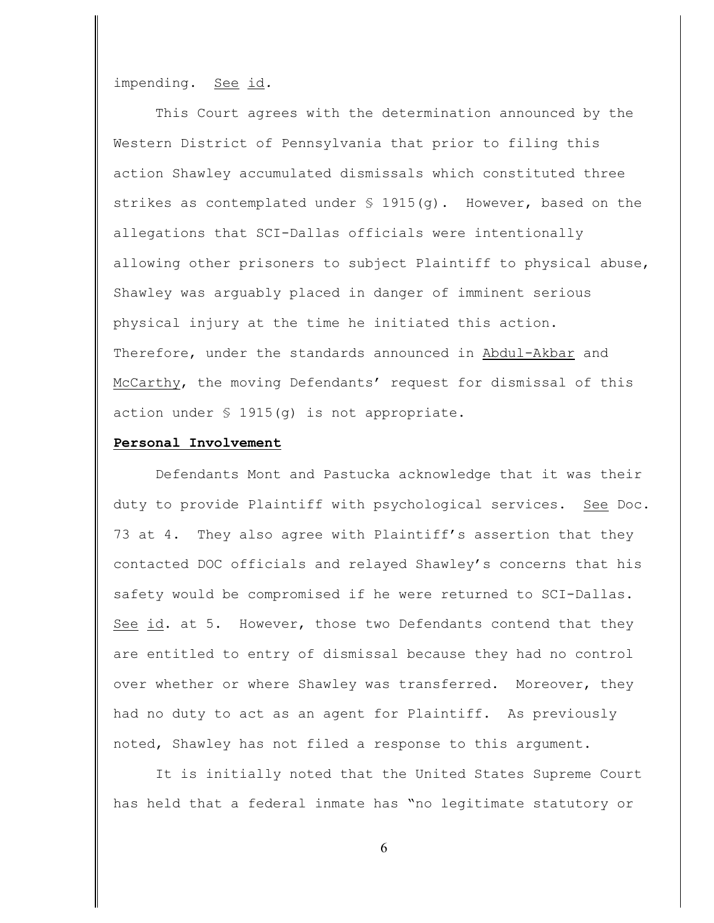impending. See id*.* 

This Court agrees with the determination announced by the Western District of Pennsylvania that prior to filing this action Shawley accumulated dismissals which constituted three strikes as contemplated under  $\frac{1}{2}$  1915(q). However, based on the allegations that SCI-Dallas officials were intentionally allowing other prisoners to subject Plaintiff to physical abuse, Shawley was arguably placed in danger of imminent serious physical injury at the time he initiated this action. Therefore, under the standards announced in Abdul-Akbar and McCarthy, the moving Defendants' request for dismissal of this action under  $\frac{1915}{q}$  is not appropriate.

### **Personal Involvement**

Defendants Mont and Pastucka acknowledge that it was their duty to provide Plaintiff with psychological services. See Doc. 73 at 4. They also agree with Plaintiff's assertion that they contacted DOC officials and relayed Shawley's concerns that his safety would be compromised if he were returned to SCI-Dallas. See id. at 5. However, those two Defendants contend that they are entitled to entry of dismissal because they had no control over whether or where Shawley was transferred. Moreover, they had no duty to act as an agent for Plaintiff. As previously noted, Shawley has not filed a response to this argument.

It is initially noted that the United States Supreme Court has held that a federal inmate has "no legitimate statutory or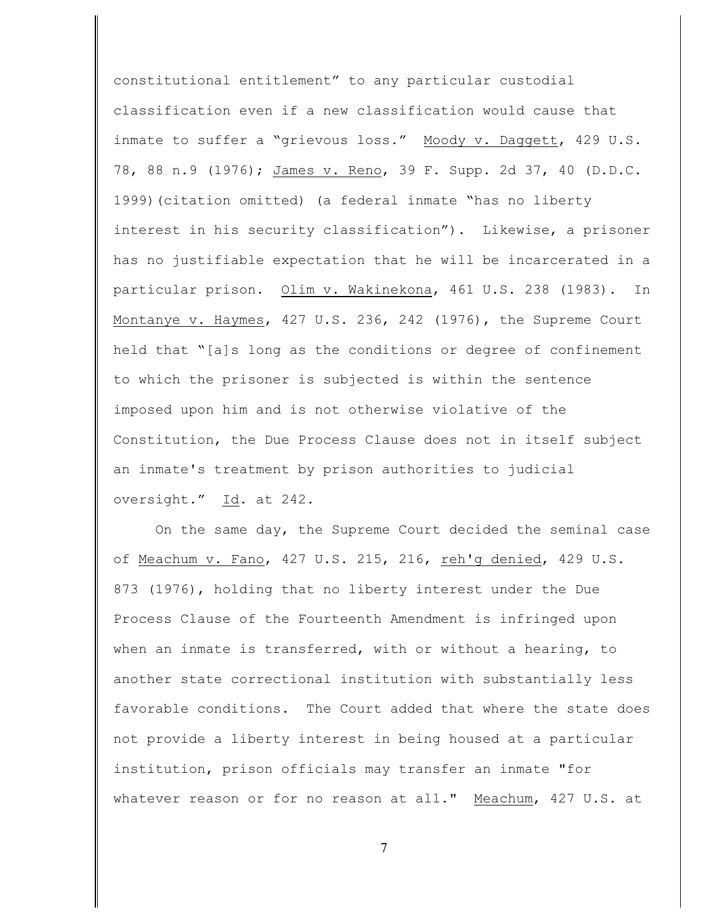constitutional entitlement" to any particular custodial classification even if a new classification would cause that inmate to suffer a "grievous loss." Moody v. Daggett, 429 U.S. 78, 88 n.9 (1976); James v. Reno, 39 F. Supp. 2d 37, 40 (D.D.C. 1999)(citation omitted) (a federal inmate "has no liberty interest in his security classification"). Likewise, a prisoner has no justifiable expectation that he will be incarcerated in a particular prison. Olim v. Wakinekona, 461 U.S. 238 (1983). In Montanye v. Haymes, 427 U.S. 236, 242 (1976), the Supreme Court held that "[a]s long as the conditions or degree of confinement to which the prisoner is subjected is within the sentence imposed upon him and is not otherwise violative of the Constitution, the Due Process Clause does not in itself subject an inmate's treatment by prison authorities to judicial oversight." Id. at 242.

On the same day, the Supreme Court decided the seminal case of Meachum v. Fano, 427 U.S. 215, 216, reh'g denied, 429 U.S. 873 (1976), holding that no liberty interest under the Due Process Clause of the Fourteenth Amendment is infringed upon when an inmate is transferred, with or without a hearing, to another state correctional institution with substantially less favorable conditions. The Court added that where the state does not provide a liberty interest in being housed at a particular institution, prison officials may transfer an inmate "for whatever reason or for no reason at all." Meachum, 427 U.S. at

7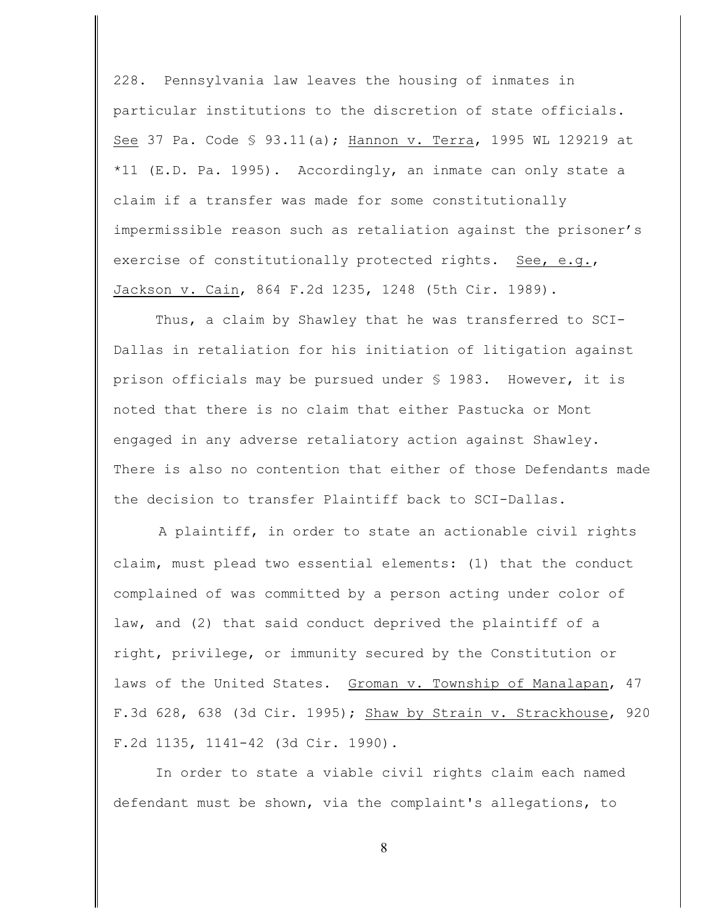228. Pennsylvania law leaves the housing of inmates in particular institutions to the discretion of state officials. See 37 Pa. Code § 93.11(a); Hannon v. Terra, 1995 WL 129219 at \*11 (E.D. Pa. 1995). Accordingly, an inmate can only state a claim if a transfer was made for some constitutionally impermissible reason such as retaliation against the prisoner's exercise of constitutionally protected rights. See, e.g., Jackson v. Cain, 864 F.2d 1235, 1248 (5th Cir. 1989).

Thus, a claim by Shawley that he was transferred to SCI-Dallas in retaliation for his initiation of litigation against prison officials may be pursued under § 1983. However, it is noted that there is no claim that either Pastucka or Mont engaged in any adverse retaliatory action against Shawley. There is also no contention that either of those Defendants made the decision to transfer Plaintiff back to SCI-Dallas.

A plaintiff, in order to state an actionable civil rights claim, must plead two essential elements: (1) that the conduct complained of was committed by a person acting under color of law, and (2) that said conduct deprived the plaintiff of a right, privilege, or immunity secured by the Constitution or laws of the United States. Groman v. Township of Manalapan, 47 F.3d 628, 638 (3d Cir. 1995); Shaw by Strain v. Strackhouse, 920 F.2d 1135, 1141-42 (3d Cir. 1990).

In order to state a viable civil rights claim each named defendant must be shown, via the complaint's allegations, to

8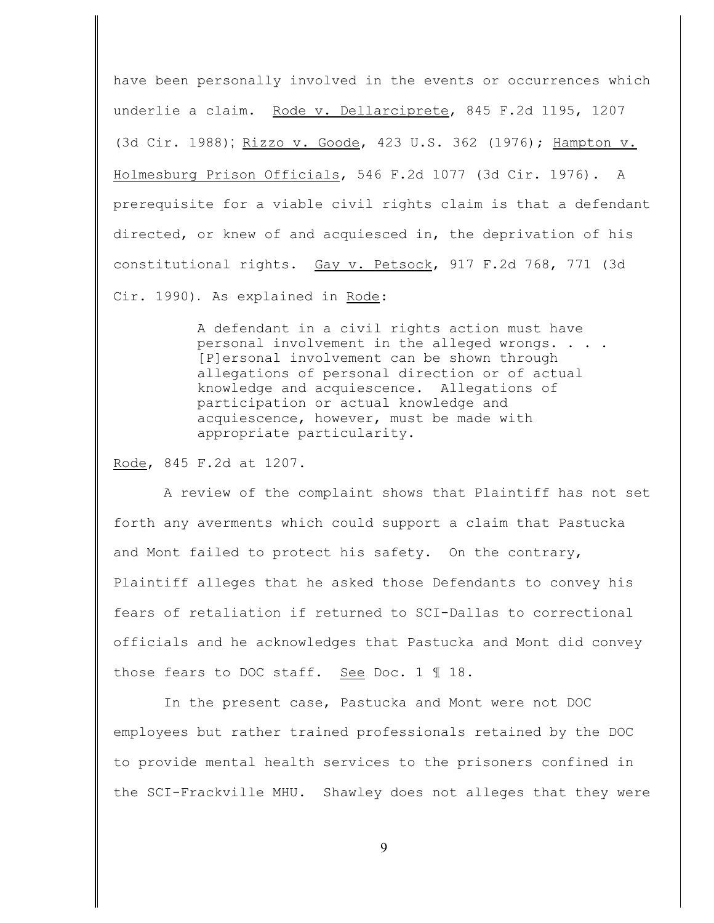have been personally involved in the events or occurrences which underlie a claim. Rode v. Dellarciprete, 845 F.2d 1195, 1207 (3d Cir. 1988); Rizzo v. Goode, 423 U.S. 362 (1976); Hampton v. Holmesburg Prison Officials, 546 F.2d 1077 (3d Cir. 1976). A prerequisite for a viable civil rights claim is that a defendant directed, or knew of and acquiesced in, the deprivation of his constitutional rights. Gay v. Petsock, 917 F.2d 768, 771 (3d Cir. 1990). As explained in Rode:

> A defendant in a civil rights action must have personal involvement in the alleged wrongs. . . . [P]ersonal involvement can be shown through allegations of personal direction or of actual knowledge and acquiescence. Allegations of participation or actual knowledge and acquiescence, however, must be made with appropriate particularity.

Rode, 845 F.2d at 1207.

 A review of the complaint shows that Plaintiff has not set forth any averments which could support a claim that Pastucka and Mont failed to protect his safety. On the contrary, Plaintiff alleges that he asked those Defendants to convey his fears of retaliation if returned to SCI-Dallas to correctional officials and he acknowledges that Pastucka and Mont did convey those fears to DOC staff. See Doc. 1 ¶ 18.

 In the present case, Pastucka and Mont were not DOC employees but rather trained professionals retained by the DOC to provide mental health services to the prisoners confined in the SCI-Frackville MHU. Shawley does not alleges that they were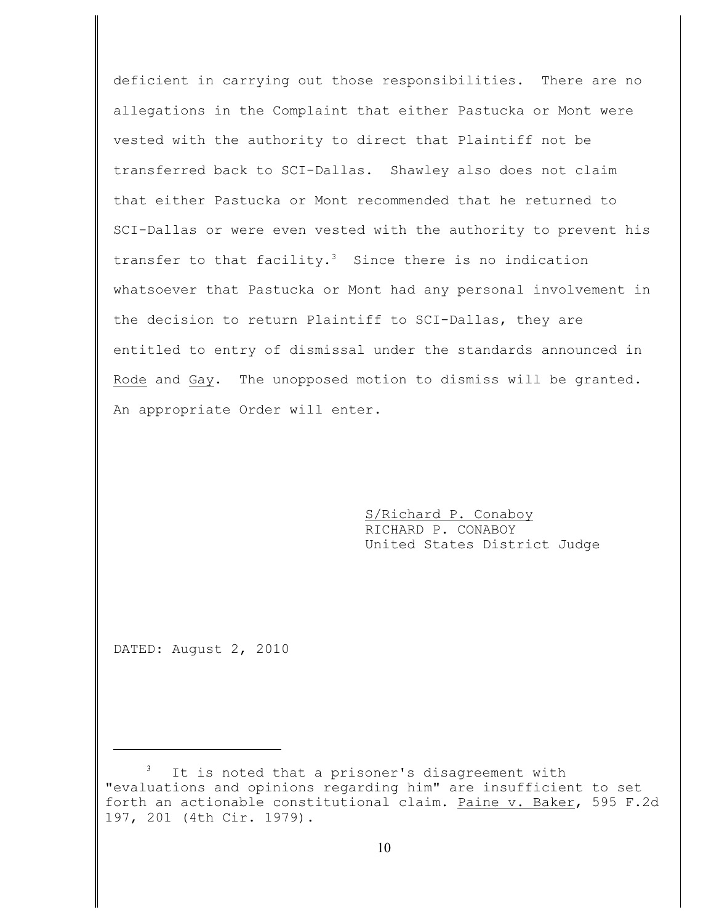deficient in carrying out those responsibilities. There are no allegations in the Complaint that either Pastucka or Mont were vested with the authority to direct that Plaintiff not be transferred back to SCI-Dallas. Shawley also does not claim that either Pastucka or Mont recommended that he returned to SCI-Dallas or were even vested with the authority to prevent his transfer to that facility.<sup>3</sup> Since there is no indication whatsoever that Pastucka or Mont had any personal involvement in the decision to return Plaintiff to SCI-Dallas, they are entitled to entry of dismissal under the standards announced in Rode and Gay. The unopposed motion to dismiss will be granted. An appropriate Order will enter.

> S/Richard P. Conaboy RICHARD P. CONABOY United States District Judge

DATED: August 2, 2010

It is noted that a prisoner's disagreement with "evaluations and opinions regarding him" are insufficient to set forth an actionable constitutional claim. Paine v. Baker, 595 F.2d 197, 201 (4th Cir. 1979).